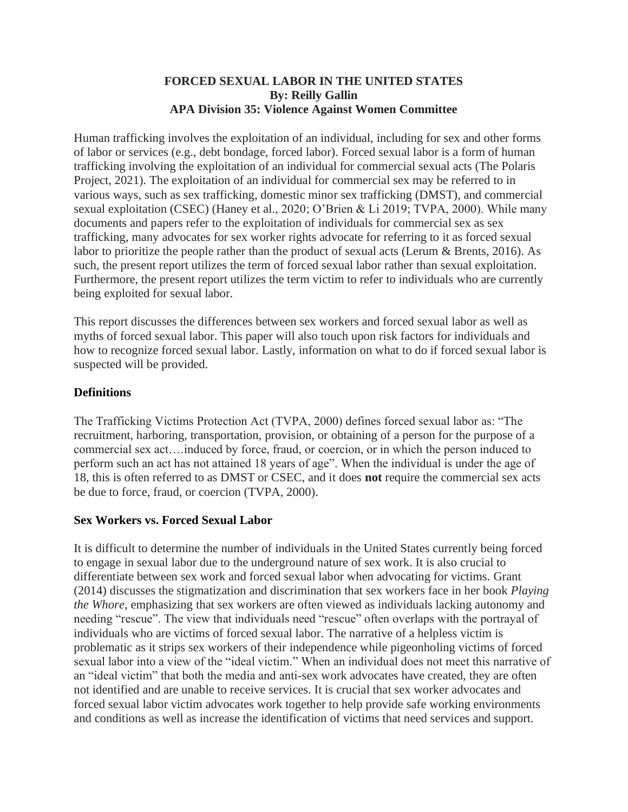#### **FORCED SEXUAL LABOR IN THE UNITED STATES By: Reilly Gallin APA Division 35: Violence Against Women Committee**

Human trafficking involves the exploitation of an individual, including for sex and other forms of labor or services (e.g., debt bondage, forced labor). Forced sexual labor is a form of human trafficking involving the exploitation of an individual for commercial sexual acts (The Polaris Project, 2021). The exploitation of an individual for commercial sex may be referred to in various ways, such as sex trafficking, domestic minor sex trafficking (DMST), and commercial sexual exploitation (CSEC) (Haney et al., 2020; O'Brien & Li 2019; TVPA, 2000). While many documents and papers refer to the exploitation of individuals for commercial sex as sex trafficking, many advocates for sex worker rights advocate for referring to it as forced sexual labor to prioritize the people rather than the product of sexual acts (Lerum & Brents, 2016). As such, the present report utilizes the term of forced sexual labor rather than sexual exploitation. Furthermore, the present report utilizes the term victim to refer to individuals who are currently being exploited for sexual labor.

This report discusses the differences between sex workers and forced sexual labor as well as myths of forced sexual labor. This paper will also touch upon risk factors for individuals and how to recognize forced sexual labor. Lastly, information on what to do if forced sexual labor is suspected will be provided.

#### **Definitions**

The Trafficking Victims Protection Act (TVPA, 2000) defines forced sexual labor as: "The recruitment, harboring, transportation, provision, or obtaining of a person for the purpose of a commercial sex act….induced by force, fraud, or coercion, or in which the person induced to perform such an act has not attained 18 years of age". When the individual is under the age of 18, this is often referred to as DMST or CSEC, and it does **not** require the commercial sex acts be due to force, fraud, or coercion (TVPA, 2000).

#### **Sex Workers vs. Forced Sexual Labor**

It is difficult to determine the number of individuals in the United States currently being forced to engage in sexual labor due to the underground nature of sex work. It is also crucial to differentiate between sex work and forced sexual labor when advocating for victims. Grant (2014) discusses the stigmatization and discrimination that sex workers face in her book *Playing the Whore*, emphasizing that sex workers are often viewed as individuals lacking autonomy and needing "rescue". The view that individuals need "rescue" often overlaps with the portrayal of individuals who are victims of forced sexual labor. The narrative of a helpless victim is problematic as it strips sex workers of their independence while pigeonholing victims of forced sexual labor into a view of the "ideal victim." When an individual does not meet this narrative of an "ideal victim" that both the media and anti-sex work advocates have created, they are often not identified and are unable to receive services. It is crucial that sex worker advocates and forced sexual labor victim advocates work together to help provide safe working environments and conditions as well as increase the identification of victims that need services and support.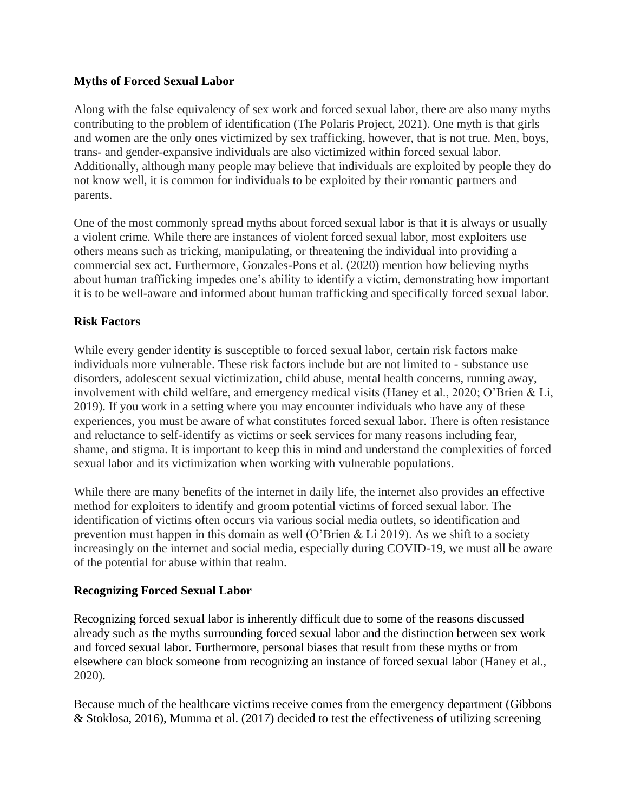# **Myths of Forced Sexual Labor**

Along with the false equivalency of sex work and forced sexual labor, there are also many myths contributing to the problem of identification (The Polaris Project, 2021). One myth is that girls and women are the only ones victimized by sex trafficking, however, that is not true. Men, boys, trans- and gender-expansive individuals are also victimized within forced sexual labor. Additionally, although many people may believe that individuals are exploited by people they do not know well, it is common for individuals to be exploited by their romantic partners and parents.

One of the most commonly spread myths about forced sexual labor is that it is always or usually a violent crime. While there are instances of violent forced sexual labor, most exploiters use others means such as tricking, manipulating, or threatening the individual into providing a commercial sex act. Furthermore, Gonzales-Pons et al. (2020) mention how believing myths about human trafficking impedes one's ability to identify a victim, demonstrating how important it is to be well-aware and informed about human trafficking and specifically forced sexual labor.

# **Risk Factors**

While every gender identity is susceptible to forced sexual labor, certain risk factors make individuals more vulnerable. These risk factors include but are not limited to - substance use disorders, adolescent sexual victimization, child abuse, mental health concerns, running away, involvement with child welfare, and emergency medical visits (Haney et al., 2020; O'Brien & Li, 2019). If you work in a setting where you may encounter individuals who have any of these experiences, you must be aware of what constitutes forced sexual labor. There is often resistance and reluctance to self-identify as victims or seek services for many reasons including fear, shame, and stigma. It is important to keep this in mind and understand the complexities of forced sexual labor and its victimization when working with vulnerable populations.

While there are many benefits of the internet in daily life, the internet also provides an effective method for exploiters to identify and groom potential victims of forced sexual labor. The identification of victims often occurs via various social media outlets, so identification and prevention must happen in this domain as well (O'Brien & Li 2019). As we shift to a society increasingly on the internet and social media, especially during COVID-19, we must all be aware of the potential for abuse within that realm.

# **Recognizing Forced Sexual Labor**

Recognizing forced sexual labor is inherently difficult due to some of the reasons discussed already such as the myths surrounding forced sexual labor and the distinction between sex work and forced sexual labor. Furthermore, personal biases that result from these myths or from elsewhere can block someone from recognizing an instance of forced sexual labor (Haney et al., 2020).

Because much of the healthcare victims receive comes from the emergency department (Gibbons & Stoklosa, 2016), Mumma et al. (2017) decided to test the effectiveness of utilizing screening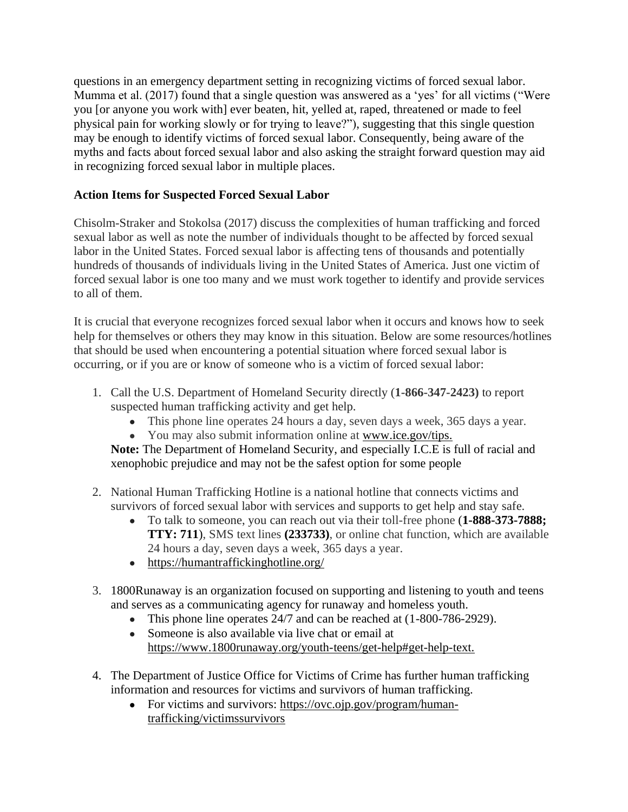questions in an emergency department setting in recognizing victims of forced sexual labor. Mumma et al. (2017) found that a single question was answered as a 'yes' for all victims ("Were you [or anyone you work with] ever beaten, hit, yelled at, raped, threatened or made to feel physical pain for working slowly or for trying to leave?"), suggesting that this single question may be enough to identify victims of forced sexual labor. Consequently, being aware of the myths and facts about forced sexual labor and also asking the straight forward question may aid in recognizing forced sexual labor in multiple places.

# **Action Items for Suspected Forced Sexual Labor**

Chisolm-Straker and Stokolsa (2017) discuss the complexities of human trafficking and forced sexual labor as well as note the number of individuals thought to be affected by forced sexual labor in the United States. Forced sexual labor is affecting tens of thousands and potentially hundreds of thousands of individuals living in the United States of America. Just one victim of forced sexual labor is one too many and we must work together to identify and provide services to all of them.

It is crucial that everyone recognizes forced sexual labor when it occurs and knows how to seek help for themselves or others they may know in this situation. Below are some resources/hotlines that should be used when encountering a potential situation where forced sexual labor is occurring, or if you are or know of someone who is a victim of forced sexual labor:

- 1. Call the U.S. Department of Homeland Security directly (**1-866-347-2423)** to report suspected human trafficking activity and get help.
	- This phone line operates 24 hours a day, seven days a week, 365 days a year.
	- You may also submit information online at [www.ice.gov/tips](http://www.ice.gov/tips).

**Note:** The Department of Homeland Security, and especially I.C.E is full of racial and xenophobic prejudice and may not be the safest option for some people

- 2. National Human Trafficking Hotline is a national hotline that connects victims and survivors of forced sexual labor with services and supports to get help and stay safe.
	- To talk to someone, you can reach out via their toll-free phone (**1-888-373-7888; TTY: 711**), SMS text lines **(233733)**, or online chat function, which are available 24 hours a day, seven days a week, 365 days a year.
	- <https://humantraffickinghotline.org/>
- 3. 1800Runaway is an organization focused on supporting and listening to youth and teens and serves as a communicating agency for runaway and homeless youth.
	- This phone line operates 24/7 and can be reached at (1-800-786-2929).
	- Someone is also available via live chat or email at [https://www.1800runaway.org/youth-teens/get-help#get-help-text.](https://www.1800runaway.org/youth-teens/get-help#get-help-text)
- 4. The Department of Justice Office for Victims of Crime has further human trafficking information and resources for victims and survivors of human trafficking.
	- For victims and survivors: [https://ovc.ojp.gov/program/human](https://ovc.ojp.gov/program/human-trafficking/victimssurvivors)[trafficking/victimssurvivors](https://ovc.ojp.gov/program/human-trafficking/victimssurvivors)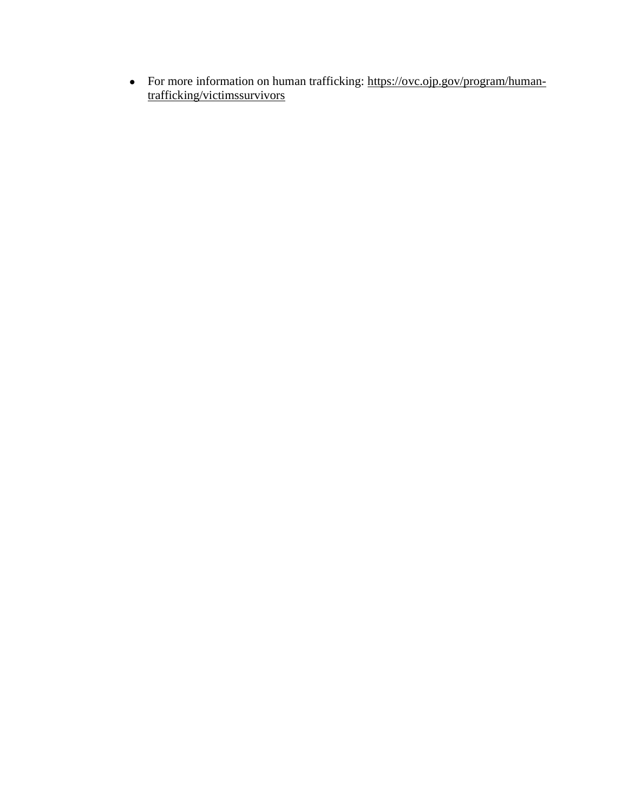• For more information on human trafficking: [https://ovc.ojp.gov/program/human](https://ovc.ojp.gov/program/human-trafficking/victimssurvivors)[trafficking/victimssurvivors](https://ovc.ojp.gov/program/human-trafficking/victimssurvivors)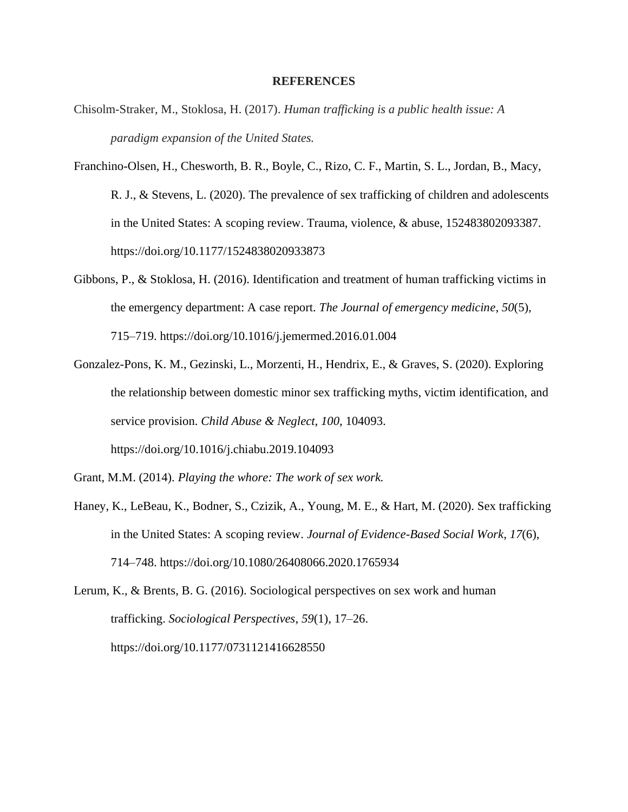#### **REFERENCES**

- Chisolm-Straker, M., Stoklosa, H. (2017). *Human trafficking is a public health issue: A paradigm expansion of the United States.*
- Franchino-Olsen, H., Chesworth, B. R., Boyle, C., Rizo, C. F., Martin, S. L., Jordan, B., Macy, R. J., & Stevens, L. (2020). The prevalence of sex trafficking of children and adolescents in the United States: A scoping review. Trauma, violence, & abuse, 152483802093387. <https://doi.org/10.1177/1524838020933873>
- Gibbons, P., & Stoklosa, H. (2016). Identification and treatment of human trafficking victims in the emergency department: A case report. *The Journal of emergency medicine*, *50*(5), 715–719. [https://doi.org/10.1016/j.jemermed.2016.01.004](https://doi-org.paloaltou.idm.oclc.org/10.1016/j.jemermed.2016.01.004)
- Gonzalez-Pons, K. M., Gezinski, L., Morzenti, H., Hendrix, E., & Graves, S. (2020). Exploring the relationship between domestic minor sex trafficking myths, victim identification, and service provision. *Child Abuse & Neglect*, *100*, 104093. <https://doi.org/10.1016/j.chiabu.2019.104093>
- Grant, M.M. (2014). *Playing the whore: The work of sex work.*
- Haney, K., LeBeau, K., Bodner, S., Czizik, A., Young, M. E., & Hart, M. (2020). Sex trafficking in the United States: A scoping review. *Journal of Evidence-Based Social Work*, *17*(6), 714–748. <https://doi.org/10.1080/26408066.2020.1765934>

Lerum, K., & Brents, B. G. (2016). Sociological perspectives on sex work and human trafficking. *Sociological Perspectives*, *59*(1), 17–26. <https://doi.org/10.1177/0731121416628550>